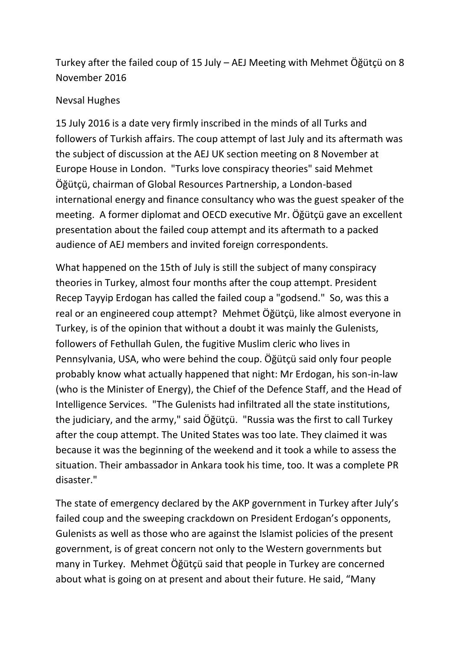Turkey after the failed coup of 15 July – AEJ Meeting with Mehmet Öğütçü on 8 November 2016

## Nevsal Hughes

15 July 2016 is a date very firmly inscribed in the minds of all Turks and followers of Turkish affairs. The coup attempt of last July and its aftermath was the subject of discussion at the AEJ UK section meeting on 8 November at Europe House in London. "Turks love conspiracy theories" said Mehmet Öğütçü, chairman of Global Resources Partnership, a London-based international energy and finance consultancy who was the guest speaker of the meeting. A former diplomat and OECD executive Mr. Öğütçü gave an excellent presentation about the failed coup attempt and its aftermath to a packed audience of AEJ members and invited foreign correspondents.

What happened on the 15th of July is still the subject of many conspiracy theories in Turkey, almost four months after the coup attempt. President Recep Tayyip Erdogan has called the failed coup a "godsend." So, was this a real or an engineered coup attempt? Mehmet Öğütçü, like almost everyone in Turkey, is of the opinion that without a doubt it was mainly the Gulenists, followers of Fethullah Gulen, the fugitive Muslim cleric who lives in Pennsylvania, USA, who were behind the coup. Öğütçü said only four people probably know what actually happened that night: Mr Erdogan, his son-in-law (who is the Minister of Energy), the Chief of the Defence Staff, and the Head of Intelligence Services. "The Gulenists had infiltrated all the state institutions, the judiciary, and the army," said Öğütçü. "Russia was the first to call Turkey after the coup attempt. The United States was too late. They claimed it was because it was the beginning of the weekend and it took a while to assess the situation. Their ambassador in Ankara took his time, too. It was a complete PR disaster."

The state of emergency declared by the AKP government in Turkey after July's failed coup and the sweeping crackdown on President Erdogan's opponents, Gulenists as well as those who are against the Islamist policies of the present government, is of great concern not only to the Western governments but many in Turkey. Mehmet Öğütçü said that people in Turkey are concerned about what is going on at present and about their future. He said, "Many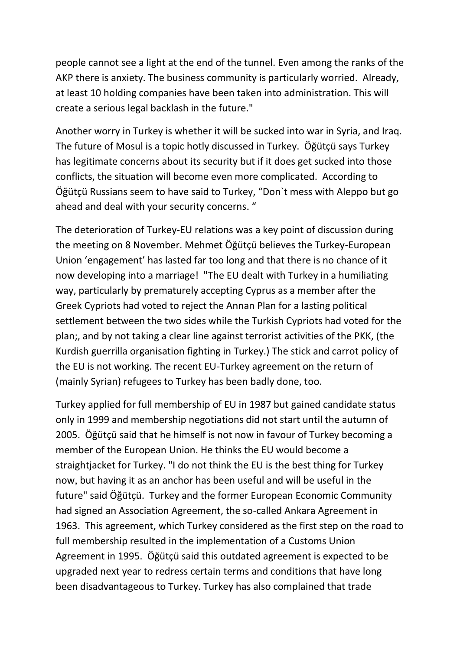people cannot see a light at the end of the tunnel. Even among the ranks of the AKP there is anxiety. The business community is particularly worried. Already, at least 10 holding companies have been taken into administration. This will create a serious legal backlash in the future."

Another worry in Turkey is whether it will be sucked into war in Syria, and Iraq. The future of Mosul is a topic hotly discussed in Turkey. Öğütçü says Turkey has legitimate concerns about its security but if it does get sucked into those conflicts, the situation will become even more complicated. According to Öğütçü Russians seem to have said to Turkey, "Don`t mess with Aleppo but go ahead and deal with your security concerns. "

The deterioration of Turkey-EU relations was a key point of discussion during the meeting on 8 November. Mehmet Öğütçü believes the Turkey-European Union 'engagement' has lasted far too long and that there is no chance of it now developing into a marriage! "The EU dealt with Turkey in a humiliating way, particularly by prematurely accepting Cyprus as a member after the Greek Cypriots had voted to reject the Annan Plan for a lasting political settlement between the two sides while the Turkish Cypriots had voted for the plan;, and by not taking a clear line against terrorist activities of the PKK, (the Kurdish guerrilla organisation fighting in Turkey.) The stick and carrot policy of the EU is not working. The recent EU-Turkey agreement on the return of (mainly Syrian) refugees to Turkey has been badly done, too.

Turkey applied for full membership of EU in 1987 but gained candidate status only in 1999 and membership negotiations did not start until the autumn of 2005. Öğütçü said that he himself is not now in favour of Turkey becoming a member of the European Union. He thinks the EU would become a straightjacket for Turkey. "I do not think the EU is the best thing for Turkey now, but having it as an anchor has been useful and will be useful in the future" said Öğütçü. Turkey and the former European Economic Community had signed an Association Agreement, the so-called Ankara Agreement in 1963. This agreement, which Turkey considered as the first step on the road to full membership resulted in the implementation of a Customs Union Agreement in 1995. Öğütçü said this outdated agreement is expected to be upgraded next year to redress certain terms and conditions that have long been disadvantageous to Turkey. Turkey has also complained that trade